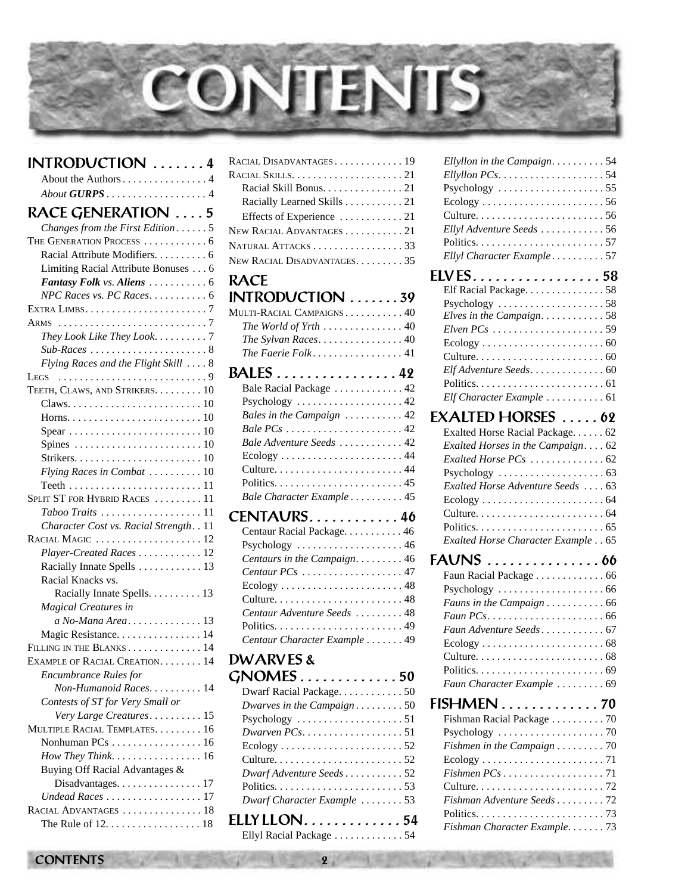

| INTRODUCTION 4                                                      |  |
|---------------------------------------------------------------------|--|
| About the Authors4                                                  |  |
|                                                                     |  |
| RACE GENERATION 5                                                   |  |
| Changes from the First Edition5                                     |  |
| THE GENERATION PROCESS  6                                           |  |
| Racial Attribute Modifiers. 6                                       |  |
| Limiting Racial Attribute Bonuses 6                                 |  |
| Fantasy Folk vs. Aliens  6                                          |  |
| NPC Races vs. PC Races 6                                            |  |
|                                                                     |  |
|                                                                     |  |
| They Look Like They Look7                                           |  |
|                                                                     |  |
| Flying Races and the Flight Skill  8                                |  |
| LEGS 9                                                              |  |
| TEETH, CLAWS, AND STRIKERS. 10                                      |  |
|                                                                     |  |
|                                                                     |  |
|                                                                     |  |
| Spines $\ldots \ldots \ldots \ldots \ldots \ldots \ldots \ldots 10$ |  |
|                                                                     |  |
| Flying Races in Combat  10                                          |  |
|                                                                     |  |
| SPLIT ST FOR HYBRID RACES  11                                       |  |
| $Taboo\ Traits \ldots \ldots \ldots \ldots \ldots 11$               |  |
| Character Cost vs. Racial Strength. . 11                            |  |
| RACIAL MAGIC  12                                                    |  |
| Player-Created Races  12                                            |  |
| Racially Innate Spells 13                                           |  |
| Racial Knacks vs.                                                   |  |
| Racially Innate Spells. 13                                          |  |
| <b>Magical Creatures in</b>                                         |  |
| a No-Mana Area 13                                                   |  |
| Magic Resistance. 14                                                |  |
| FILLING IN THE BLANKS 14                                            |  |
| EXAMPLE OF RACIAL CREATION. 14                                      |  |
| Encumbrance Rules for                                               |  |
| Non-Humanoid Races 14                                               |  |
| Contests of ST for Very Small or                                    |  |
| Very Large Creatures. 15                                            |  |
| MULTIPLE RACIAL TEMPLATES. 16                                       |  |
| Nonhuman PCs  16                                                    |  |
| How They Think. 16                                                  |  |
| Buying Off Racial Advantages &                                      |  |
| Disadvantages. 17                                                   |  |
| Undead Races  17                                                    |  |
| RACIAL ADVANTAGES  18                                               |  |

| RACIAL DISADVANTAGES19                                    |  |
|-----------------------------------------------------------|--|
|                                                           |  |
| Racial Skill Bonus. 21                                    |  |
| Racially Learned Skills 21                                |  |
| Effects of Experience 21                                  |  |
| NEW RACIAL ADVANTAGES 21                                  |  |
| NATURAL ATTACKS 33                                        |  |
| NEW RACIAL DISADVANTAGES. 35                              |  |
| <b>RACE</b>                                               |  |
| INTRODUCTION 39                                           |  |
| MULTI-RACIAL CAMPAIGNS 40                                 |  |
|                                                           |  |
| The World of Yrth $\ldots \ldots \ldots \ldots 40$        |  |
| The Sylvan Races. $\dots \dots \dots \dots \dots 40$      |  |
|                                                           |  |
| BALES 42                                                  |  |
| Bale Racial Package  42                                   |  |
| Psychology  42                                            |  |
| Bales in the Campaign  42                                 |  |
|                                                           |  |
| Bale Adventure Seeds  42                                  |  |
| Ecology  44                                               |  |
|                                                           |  |
|                                                           |  |
| Bale Character Example  45                                |  |
| CENTAURS46                                                |  |
| Centaur Racial Package. 46                                |  |
| Psychology 46                                             |  |
| Centaurs in the Campaign. 46                              |  |
|                                                           |  |
|                                                           |  |
| Centaur PCs  47                                           |  |
| Ecology  48                                               |  |
| Centaur Adventure Seeds  48                               |  |
|                                                           |  |
| Centaur Character Example  49                             |  |
|                                                           |  |
| DWARVES &                                                 |  |
| $GNOMES$ 50                                               |  |
| Dwarf Racial Package50                                    |  |
| Dwarves in the Campaign50                                 |  |
| Psychology $\dots \dots \dots \dots \dots \dots \dots 51$ |  |
|                                                           |  |
|                                                           |  |
|                                                           |  |
| Dwarf Adventure Seeds52                                   |  |
|                                                           |  |
| Dwarf Character Example  53                               |  |
| ELLY LLON. 54<br>Ellyl Racial Package 54                  |  |

| Ellyllon in the Campaign. 54                                                |  |
|-----------------------------------------------------------------------------|--|
|                                                                             |  |
| Psychology $\dots \dots \dots \dots \dots \dots \dots 55$                   |  |
|                                                                             |  |
|                                                                             |  |
| Ellyl Adventure Seeds 56                                                    |  |
|                                                                             |  |
| Ellyl Character Example57                                                   |  |
|                                                                             |  |
| ELVES. 58                                                                   |  |
| Elf Racial Package. 58                                                      |  |
| Psychology $\dots \dots \dots \dots \dots \dots \dots 58$                   |  |
| Elves in the Campaign. $\ldots \ldots \ldots \ldots 58$                     |  |
| Elven $PCs$ 59                                                              |  |
|                                                                             |  |
| Culture. $\ldots \ldots \ldots \ldots \ldots \ldots \ldots \ldots 60$       |  |
| Elf Adventure Seeds 60                                                      |  |
|                                                                             |  |
| Elf Character Example  61                                                   |  |
|                                                                             |  |
| <b>EXALTED HORSES</b> 62                                                    |  |
| Exalted Horse Racial Package 62                                             |  |
| Exalted Horses in the Campaign 62                                           |  |
| Exalted Horse PCs  62                                                       |  |
| Psychology $\dots \dots \dots \dots \dots \dots \dots \dots$ 63             |  |
| Exalted Horse Adventure Seeds  63                                           |  |
|                                                                             |  |
| $Ecology \ldots \ldots \ldots \ldots \ldots \ldots \ldots \ldots \ldots 64$ |  |
|                                                                             |  |
|                                                                             |  |
| Exalted Horse Character Example 65                                          |  |
|                                                                             |  |
| <b>FAUNS</b><br><i>.</i> 66                                                 |  |
| Faun Racial Package 66                                                      |  |
| Psychology $\dots\dots\dots\dots\dots\dots\dots66$                          |  |
| Fauns in the Campaign 66                                                    |  |
|                                                                             |  |
| Faun Adventure Seeds 67                                                     |  |
|                                                                             |  |
|                                                                             |  |
|                                                                             |  |
| Faun Character Example  69                                                  |  |
|                                                                             |  |
| . <i>. 7</i> 0                                                              |  |
| Fishman Racial Package  70                                                  |  |
| Psychology $\ldots \ldots \ldots \ldots \ldots \ldots \ldots$ 70            |  |
| Fishmen in the Campaign 70                                                  |  |
| $Ecology \ldots \ldots \ldots \ldots \ldots \ldots \ldots 71$               |  |
| $Fishmen \, PCs \ldots \ldots \ldots \ldots \ldots \ldots 71$               |  |
| FISHMEN .                                                                   |  |
| Fishman Adventure Seeds72                                                   |  |
| Fishman Character Example73                                                 |  |

**CONTENTS 2**

The Rule of 12. . . . . . . . . . . . . . . . . . 18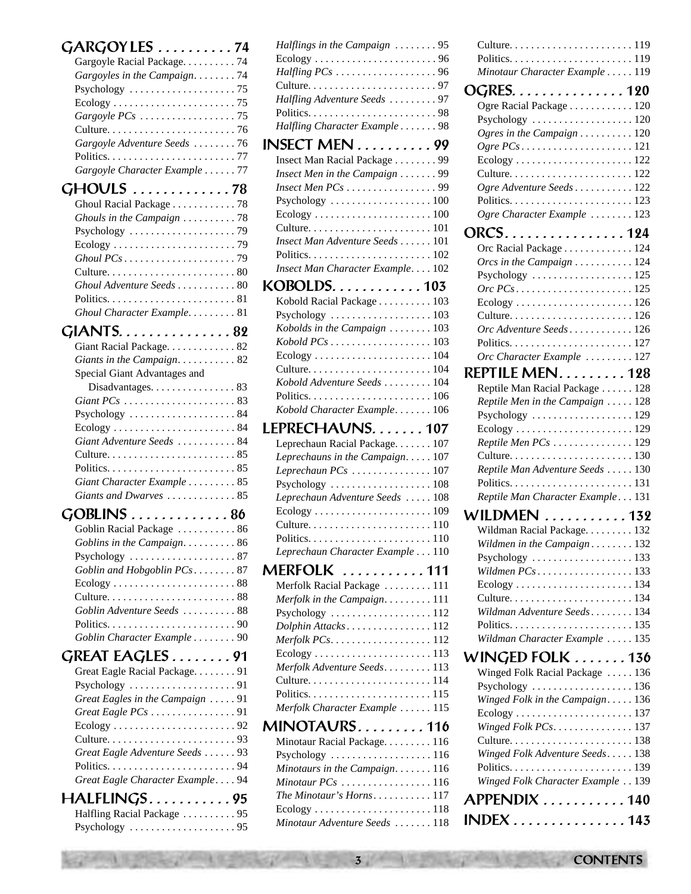| $GARGOYLES$ 74 |  |  |  |  |  |  |  |  |  |  |  |  |  |
|----------------|--|--|--|--|--|--|--|--|--|--|--|--|--|
|----------------|--|--|--|--|--|--|--|--|--|--|--|--|--|

| Gargoyle Racial Package 74                                            |  |
|-----------------------------------------------------------------------|--|
| Gargoyles in the Campaign. 74                                         |  |
| Psychology $\dots \dots \dots \dots \dots \dots \dots \dots \dots 75$ |  |
|                                                                       |  |
|                                                                       |  |
|                                                                       |  |
| Gargoyle Adventure Seeds  76                                          |  |
|                                                                       |  |
| Gargoyle Character Example 77                                         |  |
|                                                                       |  |

### **GHOULS . . . . . . . . . . . . . 78**

| Ghoul Racial Package 78                                                |
|------------------------------------------------------------------------|
| Ghouls in the Campaign  78                                             |
| Psychology $\ldots \ldots \ldots \ldots \ldots \ldots$ . 79            |
| $Ecology \ldots \ldots \ldots \ldots \ldots \ldots \ldots \ldots$ . 79 |
|                                                                        |
|                                                                        |
| Ghoul Adventure Seeds 80                                               |
|                                                                        |
| Ghoul Character Example. 81                                            |

### **GIANTS. . . . . . . . . . . . . . . 82**

| Giant Racial Package. 82                                  |
|-----------------------------------------------------------|
| Giants in the Campaign. $\ldots \ldots \ldots 82$         |
| Special Giant Advantages and                              |
|                                                           |
|                                                           |
| Psychology $\ldots \ldots \ldots \ldots \ldots \ldots 84$ |
|                                                           |
| Giant Adventure Seeds  84                                 |
|                                                           |
|                                                           |
| Giant Character Example 85                                |
| Giants and Dwarves 85                                     |

# **GOBLINS . . . . . . . . . . . . . 86**

| Goblin Racial Package  86                                     |
|---------------------------------------------------------------|
| Goblins in the Campaign. 86                                   |
|                                                               |
| Goblin and Hobgoblin PCs87                                    |
| $Ecology \ldots \ldots \ldots \ldots \ldots \ldots \ldots 88$ |
|                                                               |
| Goblin Adventure Seeds  88                                    |
|                                                               |
| Goblin Character Example 90                                   |

# **GREAT EAGLES . . . . . . . . 91**

| HALFLINGS. 95                                 |  |
|-----------------------------------------------|--|
| Great Eagle Character Example 94              |  |
|                                               |  |
| Great Eagle Adventure Seeds  93               |  |
|                                               |  |
|                                               |  |
|                                               |  |
| Great Eagles in the Campaign $\ldots$ . 91    |  |
| Psychology $\dots\dots\dots\dots\dots\dots91$ |  |
| Great Eagle Racial Package. 91                |  |

| Halfling Racial Package  95                               |  |
|-----------------------------------------------------------|--|
| Psychology $\dots \dots \dots \dots \dots \dots \dots$ 95 |  |

| Halflings in the Campaign $\ldots \ldots \ldots$ 95                                             |  |
|-------------------------------------------------------------------------------------------------|--|
|                                                                                                 |  |
|                                                                                                 |  |
|                                                                                                 |  |
|                                                                                                 |  |
| Halfling Adventure Seeds  97                                                                    |  |
|                                                                                                 |  |
| Halfling Character Example  98                                                                  |  |
| <b>INSECT MEN</b> 99                                                                            |  |
| Insect Man Racial Package 99                                                                    |  |
| Insect Men in the Campaign 99                                                                   |  |
| $Insert Men PCs \ldots \ldots \ldots \ldots \ldots 99$                                          |  |
| Psychology $\ldots \ldots \ldots \ldots \ldots \ldots 100$                                      |  |
| Ecology $\ldots \ldots \ldots \ldots \ldots \ldots \ldots 100$                                  |  |
|                                                                                                 |  |
| Insect Man Adventure Seeds  101                                                                 |  |
|                                                                                                 |  |
| Insect Man Character Example. 102                                                               |  |
| KOBOLDS103                                                                                      |  |
| Kobold Racial Package 103                                                                       |  |
| Psychology $\ldots \ldots \ldots \ldots \ldots \ldots 103$                                      |  |
| Kobolds in the Campaign $\ldots \ldots \ldots 103$                                              |  |
| $Kobold PCs \ldots \ldots \ldots \ldots \ldots \ldots 103$                                      |  |
| $Ecology \ldots \ldots \ldots \ldots \ldots \ldots \ldots 104$                                  |  |
|                                                                                                 |  |
| Kobold Adventure Seeds  104                                                                     |  |
|                                                                                                 |  |
| Kobold Character Example 106                                                                    |  |
| LEPRECHAUNS. 107                                                                                |  |
| Leprechaun Racial Package 107                                                                   |  |
| Leprechauns in the Campaign. 107                                                                |  |
|                                                                                                 |  |
| Psychology $\dots \dots \dots \dots \dots \dots \dots 108$                                      |  |
| Leprechaun Adventure Seeds  108                                                                 |  |
|                                                                                                 |  |
|                                                                                                 |  |
|                                                                                                 |  |
|                                                                                                 |  |
| Leprechaun Character Example 110                                                                |  |
| . 111                                                                                           |  |
| MERFOLK<br>Merfolk Racial Package  111                                                          |  |
| Merfolk in the Campaign. 111                                                                    |  |
| Psychology 112                                                                                  |  |
| Dolphin Attacks112                                                                              |  |
| Merfolk PCs. 112                                                                                |  |
| $Ecology \ldots \ldots \ldots \ldots \ldots \ldots \ldots 113$                                  |  |
| Merfolk Adventure Seeds 113                                                                     |  |
|                                                                                                 |  |
|                                                                                                 |  |
| Merfolk Character Example  115                                                                  |  |
| <b>MINOTAURS. 116</b>                                                                           |  |
| Minotaur Racial Package. 116                                                                    |  |
| Psychology $\dots\dots\dots\dots\dots\dots116$                                                  |  |
| Minotaurs in the Campaign. 116                                                                  |  |
| Minotaur PCs 116                                                                                |  |
| The Minotaur's Horns117                                                                         |  |
| $Ecology \ldots \ldots \ldots \ldots \ldots \ldots \ldots 118$<br>Minotaur Adventure Seeds  118 |  |

| Minotaur Character Example  119                                |     |
|----------------------------------------------------------------|-----|
|                                                                |     |
| OGRES.<br><i>.</i> 120                                         |     |
| Ogre Racial Package 120                                        |     |
| Psychology $\ldots \ldots \ldots \ldots \ldots 120$            |     |
| Ogres in the Campaign $\ldots \ldots \ldots 120$               |     |
|                                                                |     |
|                                                                |     |
|                                                                |     |
| Ogre Adventure Seeds 122                                       |     |
|                                                                |     |
| Ogre Character Example  123                                    |     |
|                                                                |     |
| ORCS. 124                                                      |     |
| Orc Racial Package 124                                         |     |
| Orcs in the Campaign 124                                       |     |
| Psychology 125                                                 |     |
|                                                                |     |
|                                                                |     |
|                                                                |     |
| Orc Adventure Seeds 126                                        |     |
|                                                                |     |
|                                                                |     |
| Orc Character Example  127                                     |     |
| REPTILE MEN. 128                                               |     |
| Reptile Man Racial Package 128                                 |     |
| Reptile Men in the Campaign  128                               |     |
| Psychology $\dots\dots\dots\dots\dots\dots$ 129                |     |
|                                                                |     |
|                                                                |     |
|                                                                |     |
| Reptile Man Adventure Seeds  130                               |     |
|                                                                |     |
| Reptile Man Character Example 131                              |     |
|                                                                |     |
|                                                                |     |
| Wildman Racial Package 132                                     |     |
| Wildmen in the Campaign                                        | 132 |
| Psychology $\dots \dots \dots \dots \dots \dots \dots$ 133     |     |
|                                                                |     |
|                                                                |     |
|                                                                |     |
| Wildman Adventure Seeds 134                                    |     |
|                                                                |     |
| Wildman Character Example  135                                 |     |
|                                                                |     |
| WINGED FOLK 136                                                |     |
| Winged Folk Racial Package  136                                |     |
| Psychology $\dots \dots \dots \dots \dots \dots \dots$ 136     |     |
| Winged Folk in the Campaign. 136                               |     |
| $Ecology \ldots \ldots \ldots \ldots \ldots \ldots \ldots 137$ |     |
| Winged Folk PCs. $\dots$ . 137                                 |     |
|                                                                |     |
| Winged Folk Adventure Seeds 138                                |     |
|                                                                |     |
| Winged Folk Character Example 139                              |     |
|                                                                |     |
| APPENDIX 140                                                   |     |
| <b>INDEX</b> 143                                               |     |
|                                                                |     |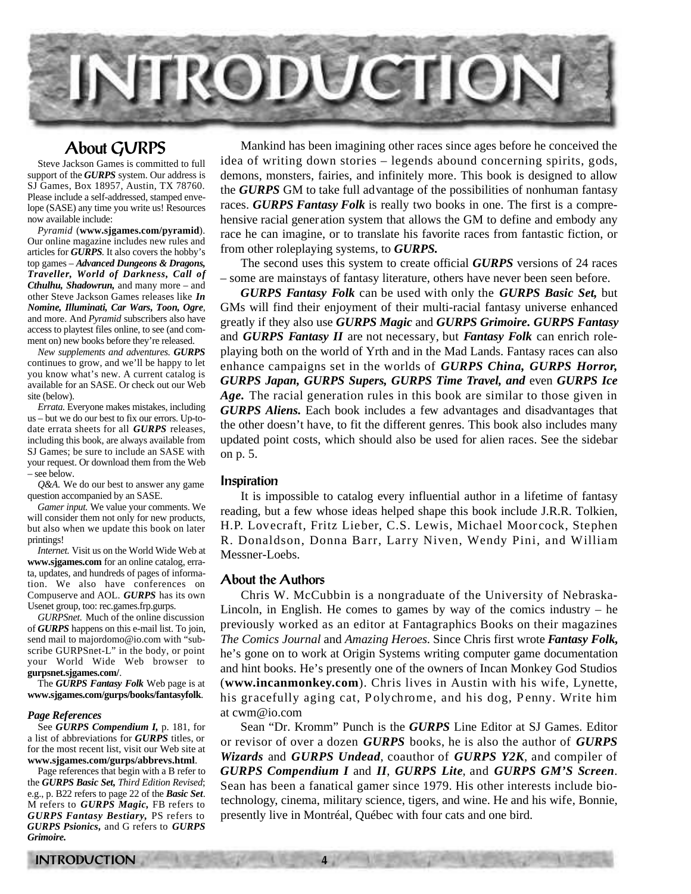

### **About GURPS**

Steve Jackson Games is committed to full support of the *GURPS* system. Our address is SJ Games, Box 18957, Austin, TX 78760. Please include a self-addressed, stamped envelope (SASE) any time you write us! Resources now available include:

*Pyramid* (www.sjgames.com/pyramid). Our online magazine includes new rules and articles for *GURPS*. It also covers the hobby's top games – *Advanced Dungeons & Dragons, Traveller, World of Darkness, Call of Cthulhu, Shadowrun,* and many more – and other Steve Jackson Games releases like *In Nomine, Illuminati, Car Wars, Toon, Ogre*, and more. And *Pyramid* subscribers also have access to playtest files online, to see (and comment on) new books before they're released.

*New supplements and adventures. GURPS* continues to grow, and we'll be happy to let you know what's new. A current catalog is available for an SASE. Or check out our Web site (below).

*Errata*. Everyone makes mistakes, including us – but we do our best to fix our errors. Up-todate errata sheets for all *GURPS* releases, including this book, are always available from SJ Games; be sure to include an SASE with your request. Or download them from the Web – see below.

*Q & A .* We do our best to answer any game question accompanied by an SASE.

*Gamer input.* We value your comments. We will consider them not only for new products, but also when we update this book on later printings!

*Internet.* Visit us on the World Wide Web at www.sjgames.com for an online catalog, errata, updates, and hundreds of pages of information. We also have conferences on Compuserve and AOL. *GURPS* has its own Usenet group, too: rec.games.frp.gurps.

*GURPSnet.* Much of the online discussion of *GURPS* happens on this e-mail list. To join, send mail to majordomo@io.com with "subscribe GURPSnet-L" in the body, or point your World Wide Web browser to gurpsnet.sjgames.com/.

The *GURPS Fantasy Folk* Web page is at **w w w . s j g a m e s . c o m / g u r p s / b o o k s / f a n t a s y f o l k**.

#### *Page References*

See *GURPS Compendium I,* p. 181, for a list of abbreviations for *GURPS* titles, or for the most recent list, visit our Web site at **www.sjgames.com/gurps/abbrevs.html**.

Page references that begin with a B refer to the **GURPS Basic Set**, Third Edition Revised; e.g., p. B22 refers to page 22 of the *Basic Set*. M refers to *GURPS Magic,* FB refers to *G U R P S Fantasy Bestiary,* PS refers to *G U R P S Psionics,* and G refers to *G U R P S*  $G$ *rimoire.* 

Mankind has been imagining other races since ages before he conceived the idea of writing down stories – legends abound concerning spirits, gods, demons, monsters, fairies, and infinitely more. This book is designed to allow the *GURPS* GM to take full advantage of the possibilities of nonhuman fantasy races. *GURPS Fantasy Folk* is really two books in one. The first is a comprehensive racial generation system that allows the GM to define and embody any race he can imagine, or to translate his favorite races from fantastic fiction, or from other roleplaying systems, to *GURPS.*

The second uses this system to create official *GURPS* versions of 24 races – some are mainstays of fantasy literature, others have never been seen before.

*GURPS Fantasy Folk* can be used with only the *GURPS Basic Set*, but GMs will find their enjoyment of their multi-racial fantasy universe enhanced greatly if they also use *GURPS Magic* and *GURPS Grimoire. GURPS Fantasy* and *GURPS Fantasy II* are not necessary, but *Fantasy Folk* can enrich roleplaying both on the world of Yrth and in the Mad Lands. Fantasy races can also enhance campaigns set in the worlds of **GURPS China, GURPS Horror,** *GURPS Japan, GURPS Supers, GURPS Time Travel, and* even *GURPS Ice Age.* The racial generation rules in this book are similar to those given in *GURPS Aliens.* Each book includes a few advantages and disadvantages that the other doesn't have, to fit the different genres. This book also includes many updated point costs, which should also be used for alien races. See the sidebar on p. 5.

#### **Inspiration**

It is impossible to catalog every influential author in a lifetime of fantasy reading, but a few whose ideas helped shape this book include J.R.R. Tolkien, H.P. Lovecraft, Fritz Lieber, C.S. Lewis, Michael Moorcock, Stephen R. Donaldson, Donna Barr, Larry Niven, Wendy Pini, and William Messner-Loebs.

#### **About the Authors**

Chris W. McCubbin is a nongraduate of the University of Nebraska-Lincoln, in English. He comes to games by way of the comics industry – he previously worked as an editor at Fantagraphics Books on their magazines *The Comics Journal* and *Amazing Heroes.* Since Chris first wrote *Fantasy Folk,* he's gone on to work at Origin Systems writing computer game documentation and hint books. He's presently one of the owners of Incan Monkey God Studios (www.incanmonkey.com). Chris lives in Austin with his wife, Lynette, his gracefully aging cat, Polychrome, and his dog, Penny. Write him at cwm@io.com

Sean "Dr. Kromm" Punch is the *GURPS* Line Editor at SJ Games. Editor or revisor of over a dozen *GURPS* books, he is also the author of *GURPS* Wizards and **GURPS** Undead, coauthor of **GURPS** Y2K, and compiler of *GURPS Compendium I* and *II*, *GURPS Lite*, and *GURPS GM'S Screen*. Sean has been a fanatical gamer since 1979. His other interests include biotechnology, cinema, military science, tigers, and wine. He and his wife, Bonnie, presently live in Montréal, Québec with four cats and one bird.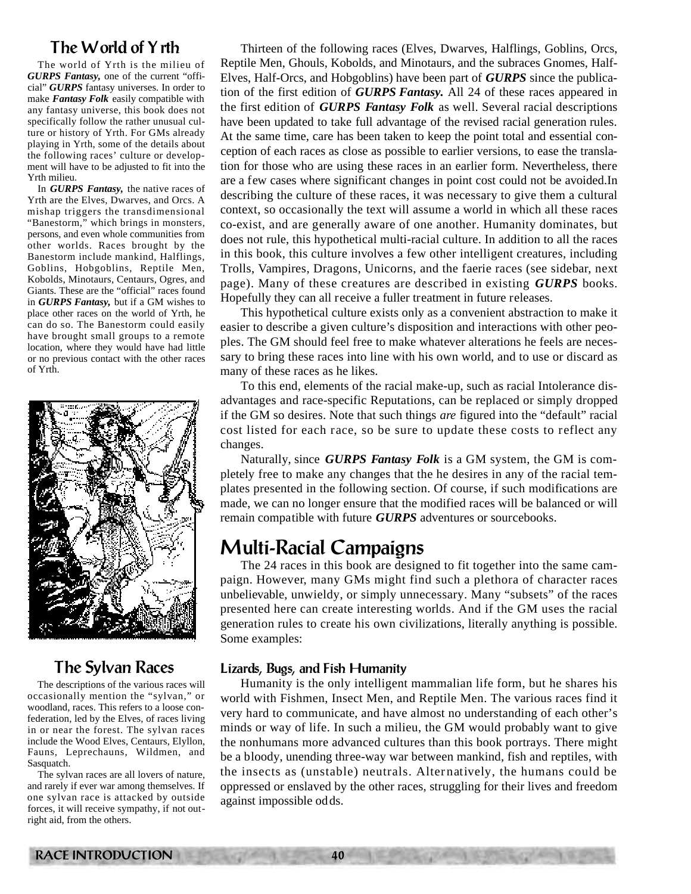## **The World of Yrth**

The world of Yrth is the milieu of *GURPS Fantasy,* one of the current "official" *GURPS* fantasy universes. In order to make *Fantasy Folk* easily compatible with any fantasy universe, this book does not specifically follow the rather unusual culture or history of Yrth. For GMs already playing in Yrth, some of the details about the following races' culture or development will have to be adjusted to fit into the Yrth milieu.

In *GURPS Fantasy,* the native races of Yrth are the Elves, Dwarves, and Orcs. A mishap triggers the transdimensional "Banestorm," which brings in monsters, persons, and even whole communities from other worlds. Races brought by the Banestorm include mankind, Halflings, Goblins, Hobgoblins, Reptile Men, Kobolds, Minotaurs, Centaurs, Ogres, and Giants. These are the "official" races found in *GURPS Fantasy,* but if a GM wishes to place other races on the world of Yrth, he can do so. The Banestorm could easily have brought small groups to a remote location, where they would have had little or no previous contact with the other races of Yrth.



### **The Sylvan Races**

The descriptions of the various races will occasionally mention the "sylvan," or woodland, races. This refers to a loose confederation, led by the Elves, of races living in or near the forest. The sylvan races include the Wood Elves, Centaurs, Elyllon, Fauns, Leprechauns, Wildmen, and Sasquatch.

The sylvan races are all lovers of nature, and rarely if ever war among themselves. If one sylvan race is attacked by outside forces, it will receive sympathy, if not outright aid, from the others.

Thirteen of the following races (Elves, Dwarves, Halflings, Goblins, Orcs, Reptile Men, Ghouls, Kobolds, and Minotaurs, and the subraces Gnomes, Half-Elves, Half-Orcs, and Hobgoblins) have been part of *GURPS* since the publication of the first edition of *GURPS Fantasy.* All 24 of these races appeared in the first edition of *GURPS Fantasy Folk* as well. Several racial descriptions have been updated to take full advantage of the revised racial generation rules. At the same time, care has been taken to keep the point total and essential conception of each races as close as possible to earlier versions, to ease the translation for those who are using these races in an earlier form. Nevertheless, there are a few cases where significant changes in point cost could not be avoided.In describing the culture of these races, it was necessary to give them a cultural context, so occasionally the text will assume a world in which all these races co-exist, and are generally aware of one another. Humanity dominates, but does not rule, this hypothetical multi-racial culture. In addition to all the races in this book, this culture involves a few other intelligent creatures, including Trolls, Vampires, Dragons, Unicorns, and the faerie races (see sidebar, next page). Many of these creatures are described in existing *GURPS* books. Hopefully they can all receive a fuller treatment in future releases.

This hypothetical culture exists only as a convenient ab straction to make it easier to describe a given culture 's disposition and interactions with other peoples. The GM should feel free to make whatever alterations he feels are necessary to bring these races into line with his own world, and to use or discard as many of these races as he likes.

To this end, elements of the racial make-up, such as racial Intolerance disadvantages and race-specific Reputations, can be replaced or simply dropped if the GM so desires. Note that such things *are* figured into the "default" racial cost listed for each race, so be sure to update these costs to reflect any changes.

Naturally, since *GURPS Fantasy Folk* is a GM system, the GM is comp letely free to make any changes that the he desires in any of the racial templates presented in the following section. Of course, if such modifications are made, we can no longer ensure that the modified races will be balanced or will remain compatible with future *GURPS* adventures or sourcebooks.

## **Multi-Racial Campaigns**

The 24 races in this book are designed to fit together into the same campaign. However, many GMs might find such a plethora of character races unbelievable, unwieldy, or simply unnecessary. Many "subsets" of the races presented here can create interesting worlds. And if the GM uses the racial generation rules to create his own civilizations, literally anything is possible. Some examples:

### **Lizards, Bugs, and Fish Humanity**

Humanity is the only intelligent mammalian life form, but he shares his world with Fishmen, Insect Men, and Reptile Men. The various races find it very hard to communicate, and have almost no understanding of each other's minds or way of life. In such a milieu, the GM would probably want to give the nonhumans more advanced cultures than this book portrays. There might be a bloody, unending three-way war between mankind, fish and reptiles, with the insects as (unstable) neutrals. Alternatively, the humans could be oppressed or enslaved by the other races, struggling for their lives and freedom against impossible odds.